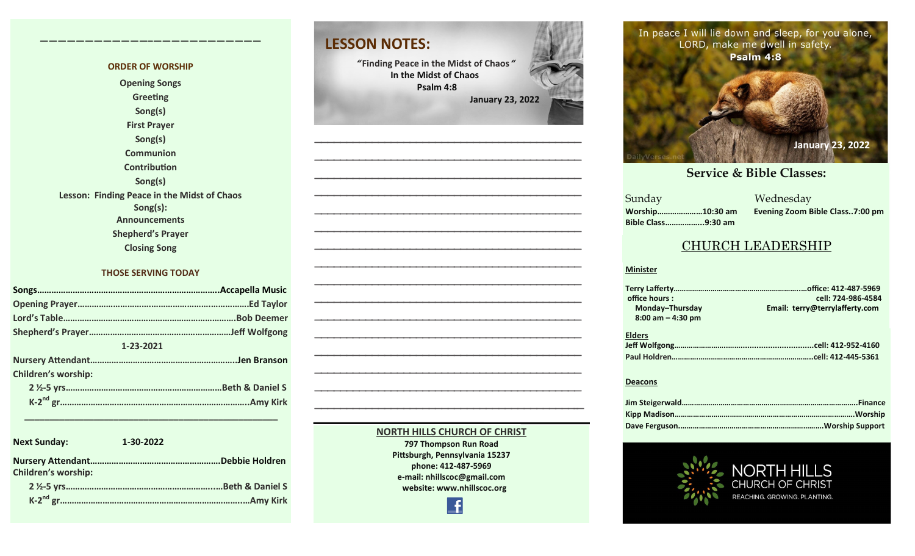#### **ORDER OF WORSHIP Opening Songs Greeting Song(s) First Prayer Song(s) Communion Contribution Song(s) Lesson: Finding Peace in the Midst of Chaos Song(s): Announcements Shepherd's Prayer Closing Song**

**————————————–————————————**

#### **THOSE SERVING TODAY**

| 1-23-2021                  |  |  |
|----------------------------|--|--|
|                            |  |  |
| <b>Children's worship:</b> |  |  |
|                            |  |  |
|                            |  |  |
|                            |  |  |

**Next Sunday: 1-30-2022 Nursery Attendant……………………………………………….Debbie Holdren Children's worship: 2 ½-5 yrs……………………………………………………...…Beth & Daniel S K-2 nd gr…………………………………………………………………..…Amy Kirk**

 **\_\_\_\_\_\_\_\_\_\_\_\_\_\_\_\_\_\_\_\_\_\_\_\_\_\_\_\_\_\_\_\_\_\_\_\_\_\_\_\_\_\_\_\_\_\_\_\_\_\_\_**



**Pittsburgh, Pennsylvania 15237 phone: 412-487-5969 e-mail: nhillscoc@gmail.com website: www.nhillscoc.org** 

**LESSON NOTES:**

In peace I will lie down and sleep, for you alone,<br>**APP** Make me dwell in safety In peace I w

> **September 24, 2017 October 8, 2017 October 15, 2017 October 8, 2017 October 22, 2017 October 29, 2017 November 5, 2017 November 12, 2017 November 26, 2017 December 17, 2017 December 29, 2019 February 9, 2020 January 26, 2020 February 23, 2020 March 1, 2020 April 5, 2020** Sunday Wednesday **December 24, 2017 January 7, 2017 January 7, 2017 March 18, 2018 January 28, 2018 February 4, 2018 January 21, 2018 Worship…………………10:30 am Evening Zoom Bible Class..7:00 pm Bible Class……………...9:30 am**

**March 2021**<br> **March 2021**<br> **Service & Bible Classes:** 

**June 20, 2021 July 18, 2021 October 17, 2021 January 23, 2022**

Psalm 4:8

**December 10, 2017** 

**February 21, 2021**

**h** safety.

### CHURCH LEADERSHIP

#### **Minister**

**Sunday** 

| office hours:        | cell: 724-986-4584             |
|----------------------|--------------------------------|
| Monday-Thursday      | Email: terry@terrylafferty.com |
| $8:00$ am $-4:30$ pm |                                |
| <b>Elders</b>        |                                |
|                      |                                |
|                      |                                |

#### **Deacons**